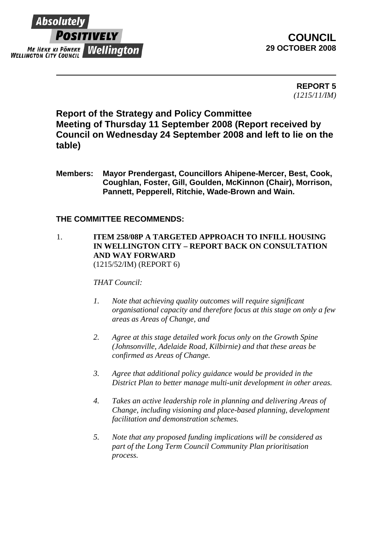

# **COUNCIL 29 OCTOBER 2008**

**REPORT 5**  *(1215/11/IM)* 

# **Report of the Strategy and Policy Committee Meeting of Thursday 11 September 2008 (Report received by Council on Wednesday 24 September 2008 and left to lie on the table)**

**Members: Mayor Prendergast, Councillors Ahipene-Mercer, Best, Cook, Coughlan, Foster, Gill, Goulden, McKinnon (Chair), Morrison, Pannett, Pepperell, Ritchie, Wade-Brown and Wain.** 

## **THE COMMITTEE RECOMMENDS:**

1. **ITEM 258/08P A TARGETED APPROACH TO INFILL HOUSING IN WELLINGTON CITY – REPORT BACK ON CONSULTATION AND WAY FORWARD**  (1215/52/IM) (REPORT 6)

### *THAT Council:*

- *1. Note that achieving quality outcomes will require significant organisational capacity and therefore focus at this stage on only a few areas as Areas of Change, and*
- *2. Agree at this stage detailed work focus only on the Growth Spine (Johnsonville, Adelaide Road, Kilbirnie) and that these areas be confirmed as Areas of Change.*
- *3. Agree that additional policy guidance would be provided in the District Plan to better manage multi-unit development in other areas.*
- *4. Takes an active leadership role in planning and delivering Areas of Change, including visioning and place-based planning, development facilitation and demonstration schemes.*
- *5. Note that any proposed funding implications will be considered as part of the Long Term Council Community Plan prioritisation process.*